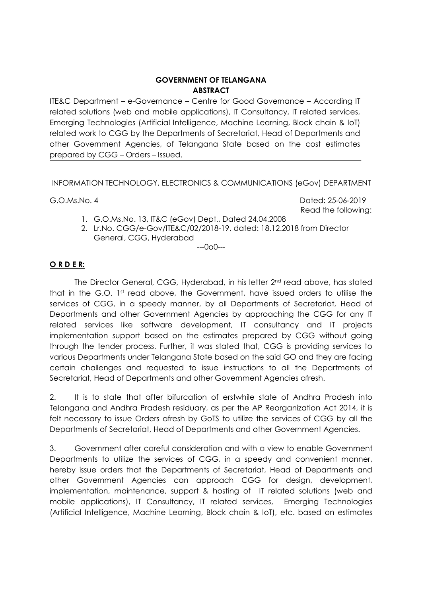### **GOVERNMENT OF TELANGANA ABSTRACT**

ITE&C Department – e-Governance – Centre for Good Governance – According IT related solutions (web and mobile applications), IT Consultancy, IT related services, Emerging Technologies (Artificial Intelligence, Machine Learning, Block chain & IoT) related work to CGG by the Departments of Secretariat, Head of Departments and other Government Agencies, of Telangana State based on the cost estimates prepared by CGG – Orders – Issued.

INFORMATION TECHNOLOGY, ELECTRONICS & COMMUNICATIONS (eGov) DEPARTMENT

G.O.Ms.No. 4 Dated: 25-06-2019 Read the following:

- 1. G.O.Ms.No. 13, IT&C (eGov) Dept., Dated 24.04.2008
- 2. Lr.No. CGG/e-Gov/ITE&C/02/2018-19, dated: 18.12.2018 from Director General, CGG, Hyderabad

---0o0---

# **O R D E R:**

The Director General, CGG, Hyderabad, in his letter 2nd read above, has stated that in the G.O. 1st read above, the Government, have issued orders to utilise the services of CGG, in a speedy manner, by all Departments of Secretariat, Head of Departments and other Government Agencies by approaching the CGG for any IT related services like software development, IT consultancy and IT projects implementation support based on the estimates prepared by CGG without going through the tender process. Further, it was stated that, CGG is providing services to various Departments under Telangana State based on the said GO and they are facing certain challenges and requested to issue instructions to all the Departments of Secretariat, Head of Departments and other Government Agencies afresh.

2. It is to state that after bifurcation of erstwhile state of Andhra Pradesh into Telangana and Andhra Pradesh residuary, as per the AP Reorganization Act 2014, it is felt necessary to issue Orders afresh by GoTS to utilize the services of CGG by all the Departments of Secretariat, Head of Departments and other Government Agencies.

3. Government after careful consideration and with a view to enable Government Departments to utilize the services of CGG, in a speedy and convenient manner, hereby issue orders that the Departments of Secretariat, Head of Departments and other Government Agencies can approach CGG for design, development, implementation, maintenance, support & hosting of IT related solutions (web and mobile applications), IT Consultancy, IT related services, Emerging Technologies (Artificial Intelligence, Machine Learning, Block chain & IoT), etc. based on estimates